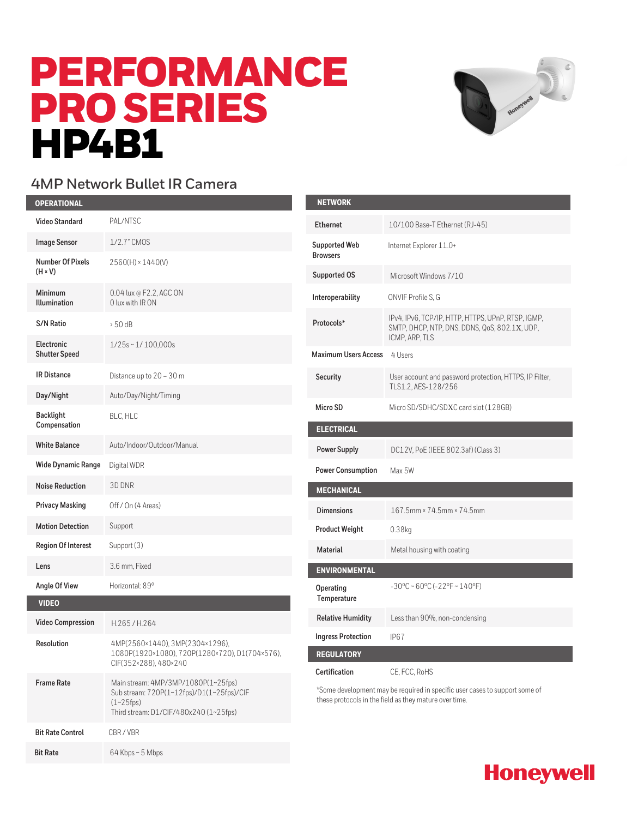# PERFORMANCE PRO SERIES **HP4B1**



#### **4MP Network Bullet IR Camera**

| <b>OPERATIONAL</b>                        |                                                                                                                                              |
|-------------------------------------------|----------------------------------------------------------------------------------------------------------------------------------------------|
| <b>Video Standard</b>                     | PAL/NTSC                                                                                                                                     |
| <b>Image Sensor</b>                       | 1/2.7" CMOS                                                                                                                                  |
| <b>Number Of Pixels</b><br>$(H \times V)$ | 2560(H) × 1440(V)                                                                                                                            |
| Minimum<br><b>Illumination</b>            | 0.04 lux @ F2.2, AGC ON<br>0 lux with IRON                                                                                                   |
| <b>S/N Ratio</b>                          | $> 50$ dB                                                                                                                                    |
| Electronic<br><b>Shutter Speed</b>        | $1/25s \sim 1/100,000s$                                                                                                                      |
| <b>IR Distance</b>                        | Distance up to $20 - 30$ m                                                                                                                   |
| Day/Night                                 | Auto/Day/Night/Timing                                                                                                                        |
| <b>Backlight</b><br>Compensation          | BLC, HLC                                                                                                                                     |
| <b>White Balance</b>                      | Auto/Indoor/Outdoor/Manual                                                                                                                   |
| <b>Wide Dynamic Range</b>                 | Digital WDR                                                                                                                                  |
| <b>Noise Reduction</b>                    | 3D DNR                                                                                                                                       |
| <b>Privacy Masking</b>                    | Off / On (4 Areas)                                                                                                                           |
| <b>Motion Detection</b>                   | Support                                                                                                                                      |
| <b>Region Of Interest</b>                 | Support (3)                                                                                                                                  |
| Lens                                      | 3.6 mm, Fixed                                                                                                                                |
| Angle Of View                             | Horizontal: 89°                                                                                                                              |
| <b>VIDEO</b>                              |                                                                                                                                              |
| <b>Video Compression</b>                  | H.265/H.264                                                                                                                                  |
| Resolution                                | 4MP(2560×1440), 3MP(2304×1296),<br>1080P(1920×1080), 720P(1280×720), D1(704×576),<br>CIF(352×288), 480×240                                   |
| <b>Frame Rate</b>                         | Main stream: 4MP/3MP/1080P(1~25fps)<br>Sub stream: 720P(1~12fps)/D1(1~25fps)/CIF<br>$(1 - 25$ fps)<br>Third stream: D1/CIF/480x240 (1~25fps) |
| <b>Bit Rate Control</b>                   | CBR/VBR                                                                                                                                      |
| <b>Bit Rate</b>                           | 64 Kbps~5 Mbps                                                                                                                               |

| <b>NETWORK</b>                          |                                                                                                                       |
|-----------------------------------------|-----------------------------------------------------------------------------------------------------------------------|
| <b>Ethernet</b>                         | 10/100 Base-T Ethernet (RJ-45)                                                                                        |
| <b>Supported Web</b><br><b>Browsers</b> | Internet Explorer 11.0+                                                                                               |
| Supported OS                            | Microsoft Windows 7/10                                                                                                |
| Interoperability                        | ONVIF Profile S, G                                                                                                    |
| Protocols*                              | IPv4, IPv6, TCP/IP, HTTP, HTTPS, UPnP, RTSP, IGMP,<br>SMTP, DHCP, NTP, DNS, DDNS, QoS, 802.1X, UDP,<br>ICMP, ARP, TLS |
| <b>Maximum Users Access</b>             | 4 Users                                                                                                               |
| Security                                | User account and password protection, HTTPS, IP Filter,<br>TLS1.2, AES-128/256                                        |
| Micro SD                                | Micro SD/SDHC/SDXC card slot (128GB)                                                                                  |
| <b>ELECTRICAL</b>                       |                                                                                                                       |
| <b>Power Supply</b>                     | DC12V, PoE (IEEE 802.3af) (Class 3)                                                                                   |
| <b>Power Consumption</b>                | Max 5W                                                                                                                |
| <b>MECHANICAL</b>                       |                                                                                                                       |
| <b>Dimensions</b>                       | 167.5mm × 74.5mm × 74.5mm                                                                                             |
| <b>Product Weight</b>                   | $0.38$ kg                                                                                                             |
| <b>Material</b>                         | Metal housing with coating                                                                                            |
| <b>ENVIRONMENTAL</b>                    |                                                                                                                       |
| Operating<br>Temperature                | $-30^{\circ}$ C ~ 60°C ( $-22^{\circ}$ F ~ 140°F)                                                                     |
| <b>Relative Humidity</b>                | Less than 90%, non-condensing                                                                                         |
| <b>Ingress Protection</b>               | IP67                                                                                                                  |
| <b>REGULATORY</b>                       |                                                                                                                       |
| Certification                           | CE, FCC, RoHS                                                                                                         |

\*Some development may be required in specific user cases to support some of these protocols in the field as they mature over time.